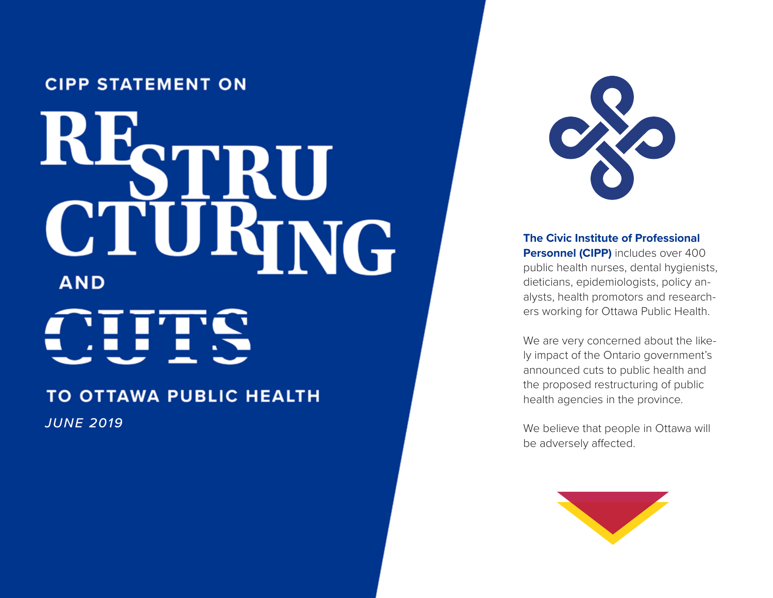#### **CIPP STATEMENT ON**

# RE. **STANG C.T. AND**

#### TO OTTAWA PUBLIC HEALTH

*JUNE 2019*



**The Civic Institute of Professional Personnel (CIPP)** includes over 400 public health nurses, dental hygienists, dieticians, epidemiologists, policy an alysts, health promotors and research ers working for Ottawa Public Health.

We are very concerned about the likely impact of the Ontario government's announced cuts to public health and the proposed restructuring of public health agencies in the province.

We believe that people in Ottawa will be adversely affected.

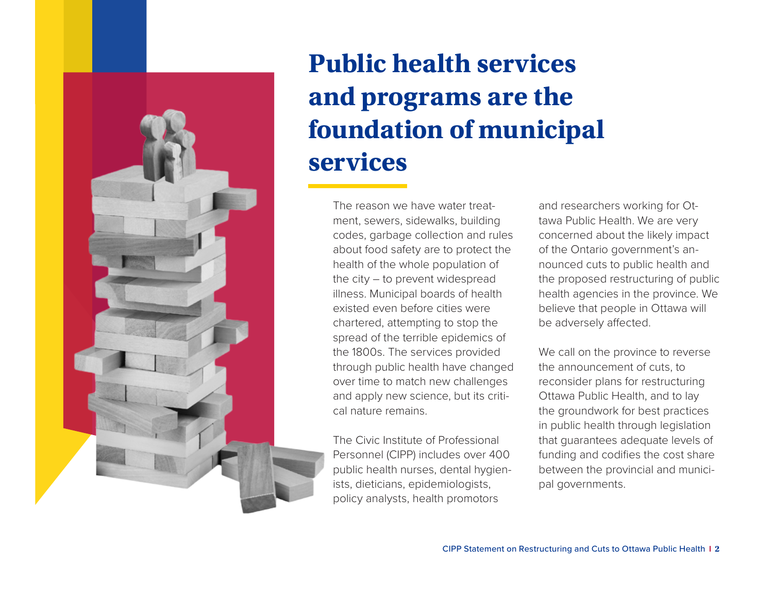

# **Public health services and programs are the foundation of municipal services**

The reason we have water treatment, sewers, sidewalks, building codes, garbage collection and rules about food safety are to protect the health of the whole population of the city – to prevent widespread illness. Municipal boards of health existed even before cities were chartered, attempting to stop the spread of the terrible epidemics of the 1800s. The services provided through public health have changed over time to match new challenges and apply new science, but its critical nature remains.

The Civic Institute of Professional Personnel (CIPP) includes over 400 public health nurses, dental hygienists, dieticians, epidemiologists, policy analysts, health promotors

and researchers working for Ottawa Public Health. We are very concerned about the likely impact of the Ontario government's announced cuts to public health and the proposed restructuring of public health agencies in the province. We believe that people in Ottawa will be adversely affected.

We call on the province to reverse the announcement of cuts, to reconsider plans for restructuring Ottawa Public Health, and to lay the groundwork for best practices in public health through legislation that guarantees adequate levels of funding and codifies the cost share between the provincial and municipal governments.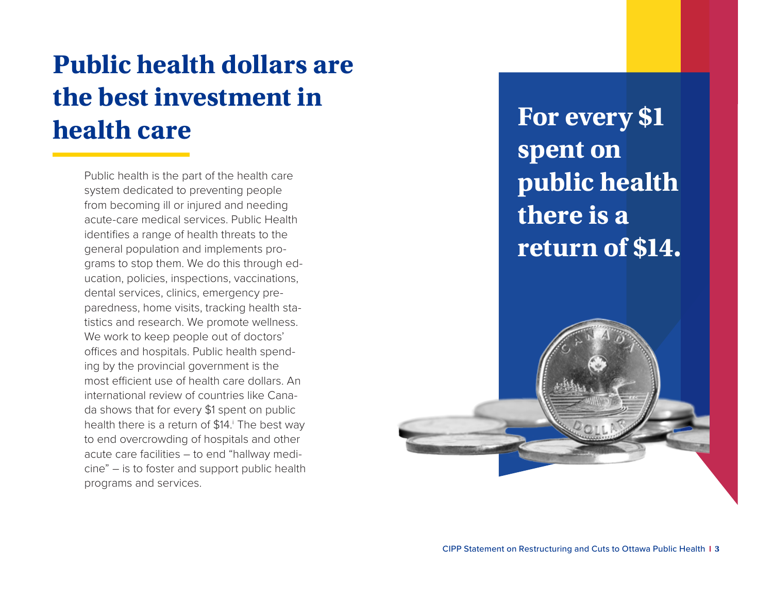# **Public health dollars are the best investment in health care**

Public health is the part of the health care system dedicated to preventing people from becoming ill or injured and needing acute-care medical services. Public Health identifies a range of health threats to the general population and implements programs to stop them. We do this through education, policies, inspections, vaccinations, dental services, clinics, emergency preparedness, home visits, tracking health statistics and research. We promote wellness. We work to keep people out of doctors' offices and hospitals. Public health spending by the provincial government is the most efficient use of health care dollars. An international review of countries like Canada shows that for every \$1 spent on public health there is a return of \$14.<sup>i</sup> The best way to end overcrowding of hospitals and other acute care facilities – to end "hallway medicine" – is to foster and support public health programs and services.

**For every \$1 spent on public health there is a return of \$14.**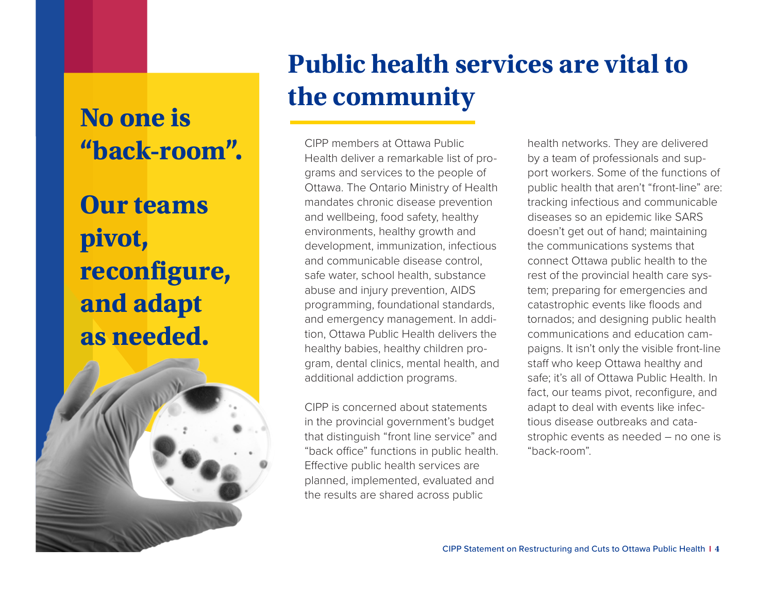## **No one is "back-room".**

**Our teams pivot, reconfigure, and adapt as needed.**



# **Public health services are vital to the community**

CIPP members at Ottawa Public Health deliver a remarkable list of programs and services to the people of Ottawa. The Ontario Ministry of Health mandates chronic disease prevention and wellbeing, food safety, healthy environments, healthy growth and development, immunization, infectious and communicable disease control, safe water, school health, substance abuse and injury prevention, AIDS programming, foundational standards, and emergency management. In addition, Ottawa Public Health delivers the healthy babies, healthy children program, dental clinics, mental health, and additional addiction programs.

CIPP is concerned about statements in the provincial government's budget that distinguish "front line service" and "back office" functions in public health. Effective public health services are planned, implemented, evaluated and the results are shared across public

health networks. They are delivered by a team of professionals and support workers. Some of the functions of public health that aren't "front-line" are: tracking infectious and communicable diseases so an epidemic like SARS doesn't get out of hand; maintaining the communications systems that connect Ottawa public health to the rest of the provincial health care system; preparing for emergencies and catastrophic events like floods and tornados; and designing public health communications and education campaigns. It isn't only the visible front-line staff who keep Ottawa healthy and safe; it's all of Ottawa Public Health. In fact, our teams pivot, reconfigure, and adapt to deal with events like infectious disease outbreaks and catastrophic events as needed – no one is "back-room".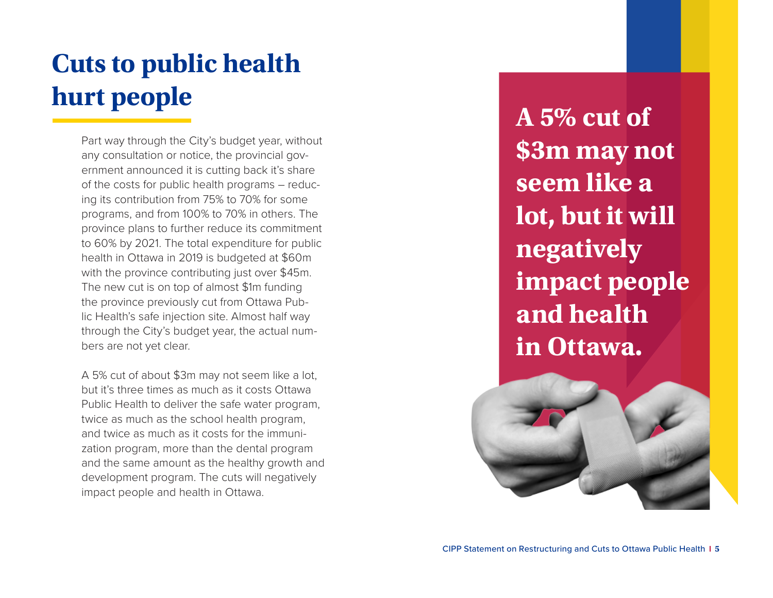# **Cuts to public health hurt people**

Part way through the City's budget year, without any consultation or notice, the provincial gov ernment announced it is cutting back it's share of the costs for public health programs – reduc ing its contribution from 75% to 70% for some programs, and from 100% to 70% in others. The province plans to further reduce its commitment to 60% by 2021. The total expenditure for public health in Ottawa in 2019 is budgeted at \$60m with the province contributing just over \$45m. The new cut is on top of almost \$1m funding the province previously cut from Ottawa Pub lic Health's safe injection site. Almost half way through the City's budget year, the actual num bers are not yet clear.

A 5% cut of about \$3m may not seem like a lot, but it's three times as much as it costs Ottawa Public Health to deliver the safe water program, twice as much as the school health program, and twice as much as it costs for the immuni zation program, more than the dental program and the same amount as the healthy growth and development program. The cuts will negatively impact people and health in Ottawa.

**A 5% cut of \$3m may not seem like a**  lot, but it will **negatively impact people and health in Ottawa.**

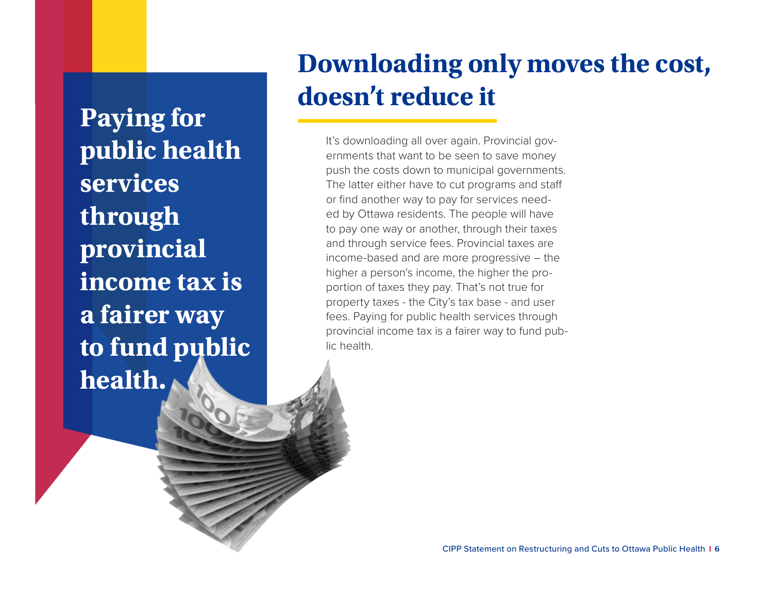**Paying for public health services through provincial income tax is a fairer way to fund public health.**

## **Downloading only moves the cost, doesn't reduce it**

It's downloading all over again. Provincial governments that want to be seen to save money push the costs down to municipal governments. The latter either have to cut programs and staff or find another way to pay for services needed by Ottawa residents. The people will have to pay one way or another, through their taxes and through service fees. Provincial taxes are income-based and are more progressive – the higher a person's income, the higher the proportion of taxes they pay. That's not true for property taxes - the City's tax base - and user fees. Paying for public health services through provincial income tax is a fairer way to fund public health.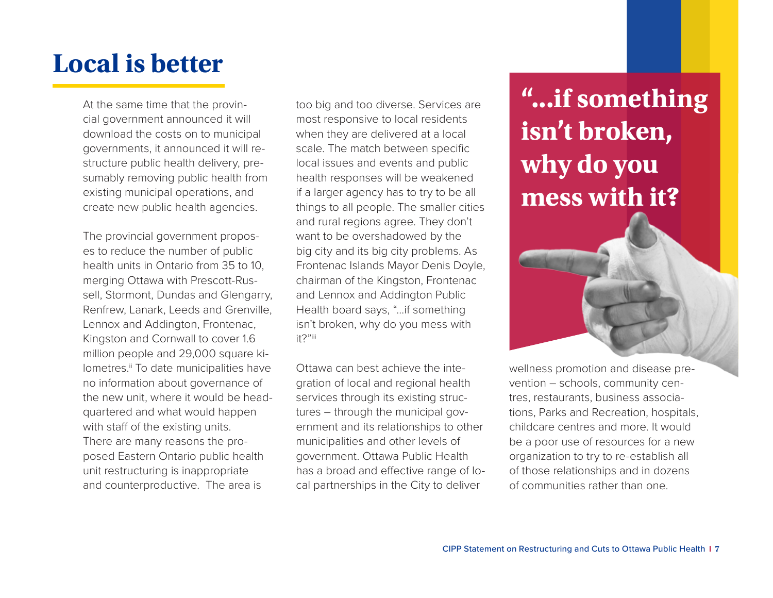#### **Local is better**

At the same time that the provincial government announced it will download the costs on to municipal governments, it announced it will restructure public health delivery, presumably removing public health from existing municipal operations, and create new public health agencies.

The provincial government proposes to reduce the number of public health units in Ontario from 35 to 10, merging Ottawa with Prescott-Russell, Stormont, Dundas and Glengarry, Renfrew, Lanark, Leeds and Grenville, Lennox and Addington, Frontenac, Kingston and Cornwall to cover 1.6 million people and 29,000 square kilometres.<sup>ii</sup> To date municipalities have no information about governance of the new unit, where it would be headquartered and what would happen with staff of the existing units. There are many reasons the proposed Eastern Ontario public health unit restructuring is inappropriate and counterproductive. The area is

too big and too diverse. Services are most responsive to local residents when they are delivered at a local scale. The match between specific local issues and events and public health responses will be weakened if a larger agency has to try to be all things to all people. The smaller cities and rural regions agree. They don't want to be overshadowed by the big city and its big city problems. As Frontenac Islands Mayor Denis Doyle, chairman of the Kingston, Frontenac and Lennox and Addington Public Health board says, "…if something isn't broken, why do you mess with it?"iii

Ottawa can best achieve the integration of local and regional health services through its existing structures – through the municipal government and its relationships to other municipalities and other levels of government. Ottawa Public Health has a broad and effective range of local partnerships in the City to deliver

# **"...if something isn't broken, why do you mess with it?**



wellness promotion and disease prevention – schools, community centres, restaurants, business associations, Parks and Recreation, hospitals, childcare centres and more. It would be a poor use of resources for a new organization to try to re-establish all of those relationships and in dozens of communities rather than one.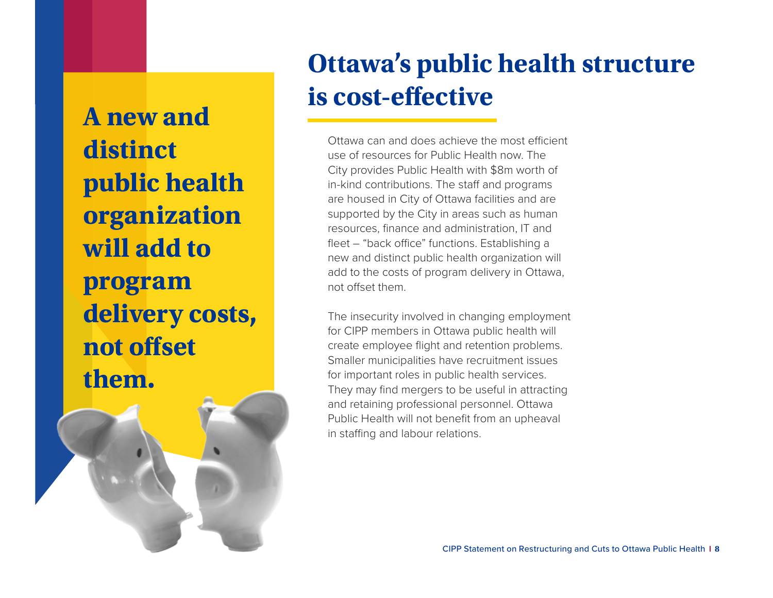**A new and distinct public health organization will add to program delivery costs, not offset them.**

## **Ottawa's public health structure is cost-effective**

Ottawa can and does achieve the most efficient use of resources for Public Health now. The City provides Public Health with \$8m worth of in-kind contributions. The staff and programs are housed in City of Ottawa facilities and are supported by the City in areas such as human resources, finance and administration, IT and fleet – "back office" functions. Establishing a new and distinct public health organization will add to the costs of program delivery in Ottawa, not offset them.

The insecurity involved in changing employment for CIPP members in Ottawa public health will create employee flight and retention problems. Smaller municipalities have recruitment issues for important roles in public health services. They may find mergers to be useful in attracting and retaining professional personnel. Ottawa Public Health will not benefit from an upheaval in staffing and labour relations.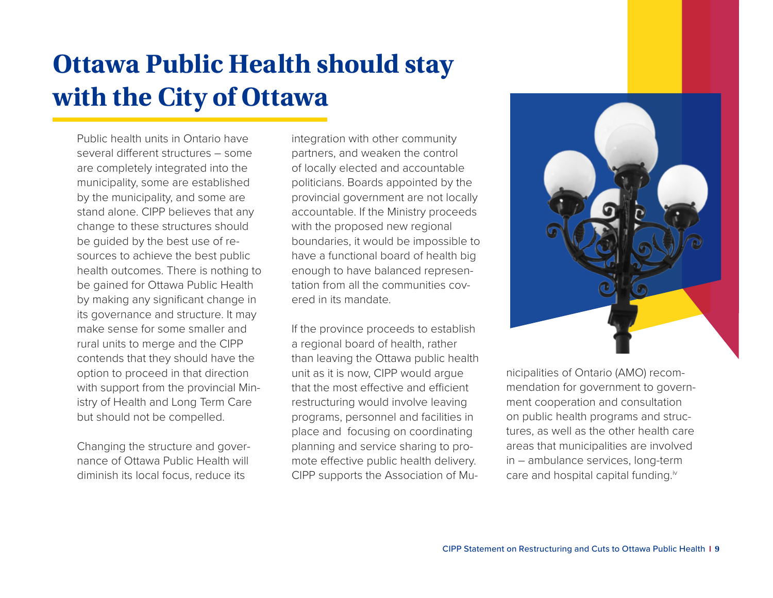# **Ottawa Public Health should stay with the City of Ottawa**

Public health units in Ontario have several different structures – some are completely integrated into the municipality, some are established by the municipality, and some are stand alone. CIPP believes that any change to these structures should be guided by the best use of resources to achieve the best public health outcomes. There is nothing to be gained for Ottawa Public Health by making any significant change in its governance and structure. It may make sense for some smaller and rural units to merge and the CIPP contends that they should have the option to proceed in that direction with support from the provincial Ministry of Health and Long Term Care but should not be compelled.

Changing the structure and governance of Ottawa Public Health will diminish its local focus, reduce its

integration with other community partners, and weaken the control of locally elected and accountable politicians. Boards appointed by the provincial government are not locally accountable. If the Ministry proceeds with the proposed new regional boundaries, it would be impossible to have a functional board of health big enough to have balanced representation from all the communities covered in its mandate.

If the province proceeds to establish a regional board of health, rather than leaving the Ottawa public health unit as it is now, CIPP would argue that the most effective and efficient restructuring would involve leaving programs, personnel and facilities in place and focusing on coordinating planning and service sharing to promote effective public health delivery. CIPP supports the Association of Mu-



nicipalities of Ontario (AMO) recommendation for government to government cooperation and consultation on public health programs and structures, as well as the other health care areas that municipalities are involved in – ambulance services, long-term care and hospital capital funding.<sup>iv</sup>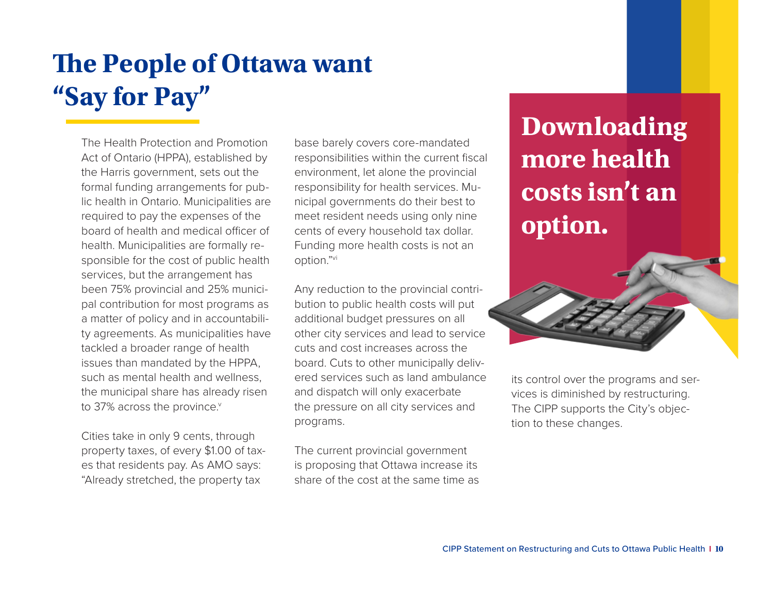# **The People of Ottawa want "Say for Pay"**

The Health Protection and Promotion Act of Ontario (HPPA), established by the Harris government, sets out the formal funding arrangements for public health in Ontario. Municipalities are required to pay the expenses of the board of health and medical officer of health. Municipalities are formally responsible for the cost of public health services, but the arrangement has been 75% provincial and 25% municipal contribution for most programs as a matter of policy and in accountability agreements. As municipalities have tackled a broader range of health issues than mandated by the HPPA, such as mental health and wellness, the municipal share has already risen to 37% across the province.

Cities take in only 9 cents, through property taxes, of every \$1.00 of taxes that residents pay. As AMO says: "Already stretched, the property tax

base barely covers core-mandated responsibilities within the current fiscal environment, let alone the provincial responsibility for health services. Municipal governments do their best to meet resident needs using only nine cents of every household tax dollar. Funding more health costs is not an option."vi

Any reduction to the provincial contribution to public health costs will put additional budget pressures on all other city services and lead to service cuts and cost increases across the board. Cuts to other municipally delivered services such as land ambulance and dispatch will only exacerbate the pressure on all city services and programs.

The current provincial government is proposing that Ottawa increase its share of the cost at the same time as **Downloading more health costs isn't an option.**



its control over the programs and services is diminished by restructuring. The CIPP supports the City's objection to these changes.